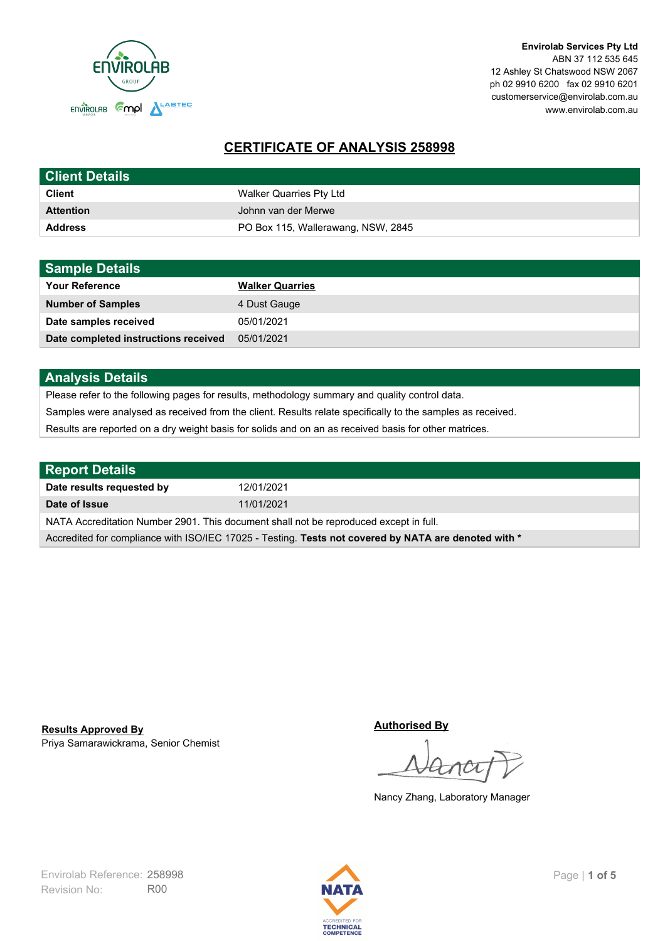

**Envirolab Services Pty Ltd** ABN 37 112 535 645 12 Ashley St Chatswood NSW 2067 ph 02 9910 6200 fax 02 9910 6201 customerservice@envirolab.com.au www.envirolab.com.au

# **CERTIFICATE OF ANALYSIS 258998**

| <b>Client Details</b> |                                    |
|-----------------------|------------------------------------|
| <b>Client</b>         | Walker Quarries Pty Ltd            |
| <b>Attention</b>      | Johnn van der Merwe                |
| <b>Address</b>        | PO Box 115, Wallerawang, NSW, 2845 |

| <b>Sample Details</b>                |                        |
|--------------------------------------|------------------------|
| <b>Your Reference</b>                | <b>Walker Quarries</b> |
| <b>Number of Samples</b>             | 4 Dust Gauge           |
| Date samples received                | 05/01/2021             |
| Date completed instructions received | 05/01/2021             |

## **Analysis Details**

Please refer to the following pages for results, methodology summary and quality control data.

Samples were analysed as received from the client. Results relate specifically to the samples as received.

Results are reported on a dry weight basis for solids and on an as received basis for other matrices.

| <b>Report Details</b>                                                                                |            |  |
|------------------------------------------------------------------------------------------------------|------------|--|
| Date results requested by                                                                            | 12/01/2021 |  |
| Date of Issue                                                                                        | 11/01/2021 |  |
| NATA Accreditation Number 2901. This document shall not be reproduced except in full.                |            |  |
| Accredited for compliance with ISO/IEC 17025 - Testing. Tests not covered by NATA are denoted with * |            |  |

Priya Samarawickrama, Senior Chemist **Results Approved By**

**Authorised By**

Nancy Zhang, Laboratory Manager

Revision No: R00 Envirolab Reference: 258998 Page | 1 of 5

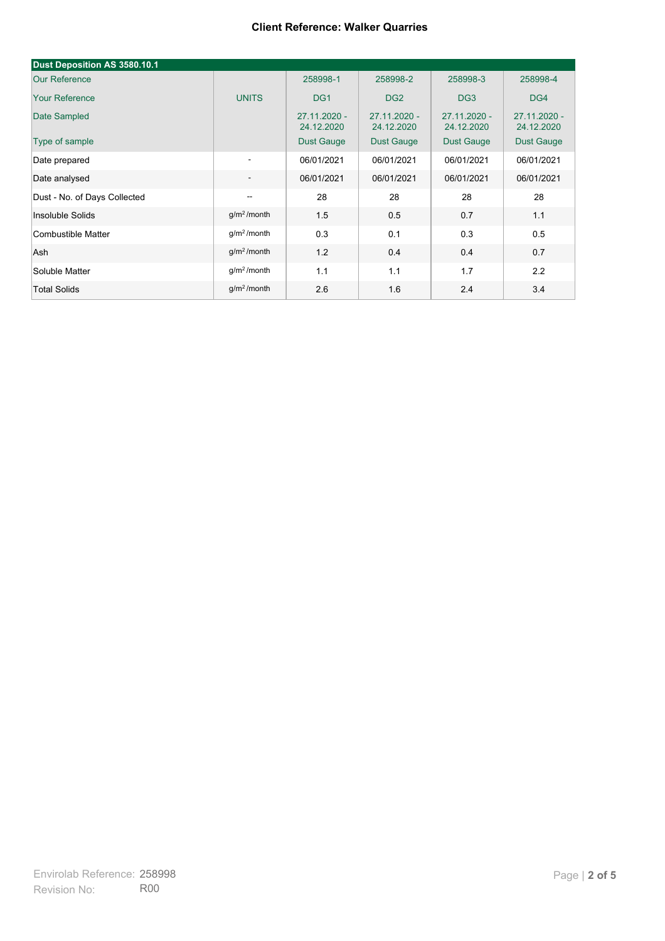| Dust Deposition AS 3580.10.1 |                          |                            |                            |                              |                            |
|------------------------------|--------------------------|----------------------------|----------------------------|------------------------------|----------------------------|
| <b>Our Reference</b>         |                          | 258998-1                   | 258998-2                   | 258998-3                     | 258998-4                   |
| <b>Your Reference</b>        | <b>UNITS</b>             | DG <sub>1</sub>            | DG <sub>2</sub>            | DG <sub>3</sub>              | DG4                        |
| Date Sampled                 |                          | 27.11.2020 -<br>24.12.2020 | 27.11.2020 -<br>24.12.2020 | $27.11.2020 -$<br>24.12.2020 | 27.11.2020 -<br>24.12.2020 |
| Type of sample               |                          | <b>Dust Gauge</b>          | <b>Dust Gauge</b>          | <b>Dust Gauge</b>            | <b>Dust Gauge</b>          |
| Date prepared                | $\overline{\phantom{a}}$ | 06/01/2021                 | 06/01/2021                 | 06/01/2021                   | 06/01/2021                 |
| Date analysed                | $\overline{\phantom{a}}$ | 06/01/2021                 | 06/01/2021                 | 06/01/2021                   | 06/01/2021                 |
| Dust - No. of Days Collected | $\overline{\phantom{a}}$ | 28                         | 28                         | 28                           | 28                         |
| Insoluble Solids             | g/m <sup>2</sup> /month  | 1.5                        | 0.5                        | 0.7                          | 1.1                        |
| Combustible Matter           | g/m <sup>2</sup> /month  | 0.3                        | 0.1                        | 0.3                          | 0.5                        |
| Ash                          | g/m <sup>2</sup> /month  | 1.2                        | 0.4                        | 0.4                          | 0.7                        |
| Soluble Matter               | g/m <sup>2</sup> /month  | 1.1                        | 1.1                        | 1.7                          | 2.2                        |
| <b>Total Solids</b>          | g/m <sup>2</sup> /month  | 2.6                        | 1.6                        | 2.4                          | 3.4                        |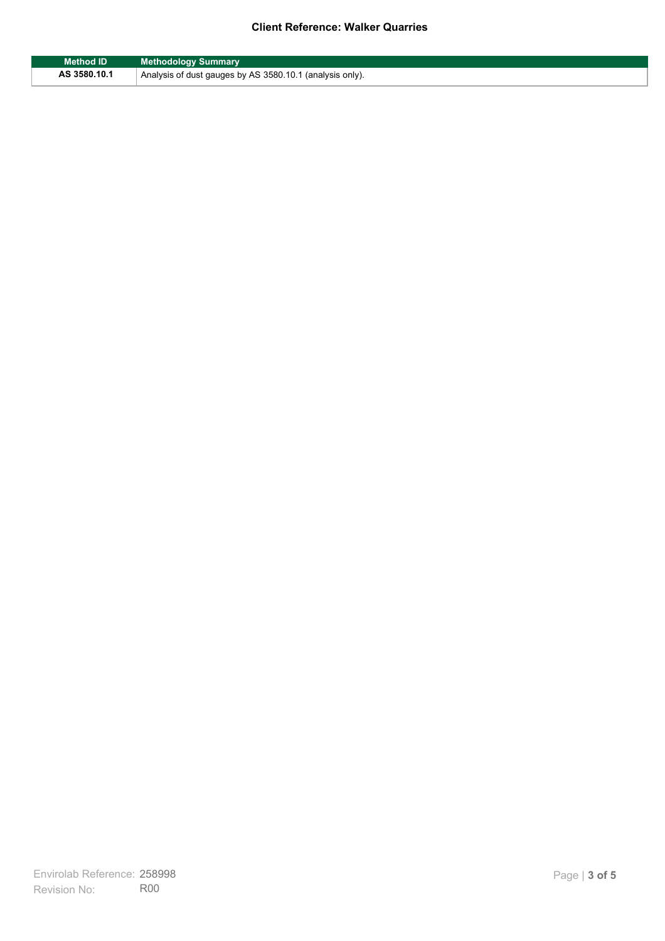| <b>Method ID</b> | <b>Methodology Summary</b>                               |
|------------------|----------------------------------------------------------|
| AS 3580.10.1     | Analysis of dust gauges by AS 3580.10.1 (analysis only). |

F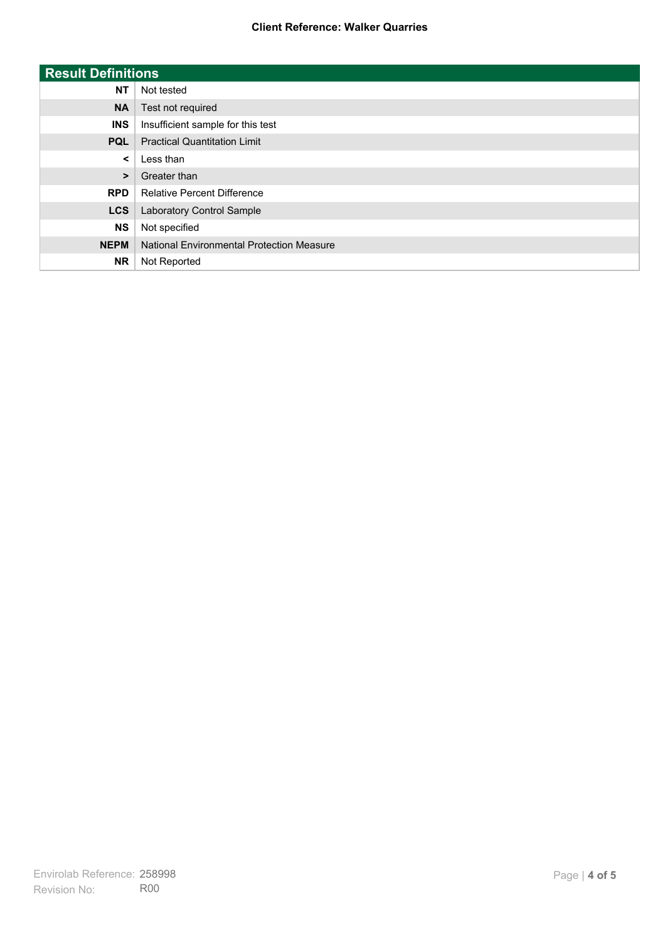| <b>Result Definitions</b> |                                           |
|---------------------------|-------------------------------------------|
| <b>NT</b>                 | Not tested                                |
| <b>NA</b>                 | Test not required                         |
| <b>INS</b>                | Insufficient sample for this test         |
| <b>PQL</b>                | <b>Practical Quantitation Limit</b>       |
| $\prec$                   | Less than                                 |
| $\geq$                    | Greater than                              |
| <b>RPD</b>                | <b>Relative Percent Difference</b>        |
| <b>LCS</b>                | Laboratory Control Sample                 |
| <b>NS</b>                 | Not specified                             |
| <b>NEPM</b>               | National Environmental Protection Measure |
| <b>NR</b>                 | Not Reported                              |